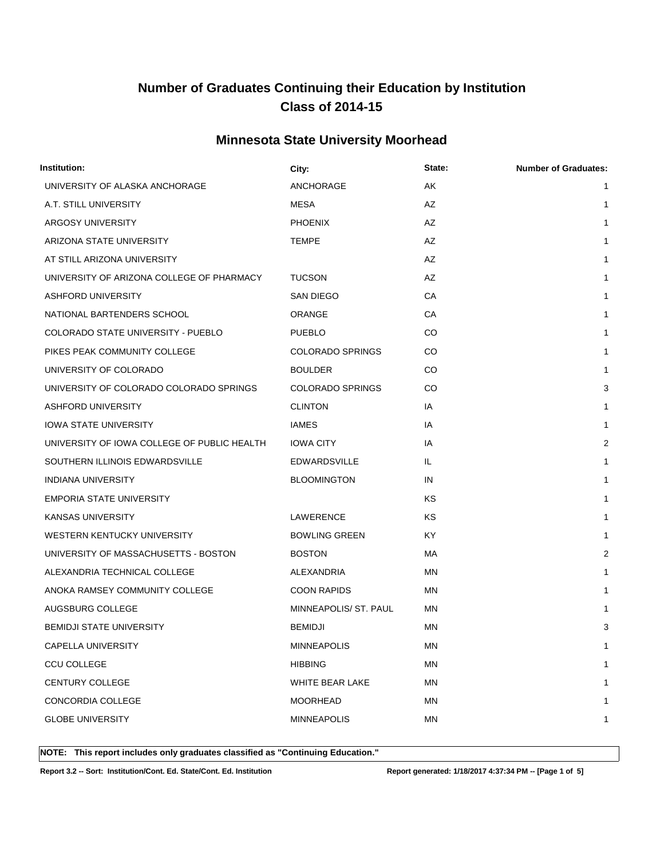#### **Minnesota State University Moorhead**

| Institution:                                | City:                   | State: | <b>Number of Graduates:</b> |
|---------------------------------------------|-------------------------|--------|-----------------------------|
| UNIVERSITY OF ALASKA ANCHORAGE              | ANCHORAGE               | AK     | 1                           |
| A.T. STILL UNIVERSITY                       | <b>MESA</b>             | AZ     | 1                           |
| ARGOSY UNIVERSITY                           | <b>PHOENIX</b>          | AZ     | $\mathbf{1}$                |
| ARIZONA STATE UNIVERSITY                    | <b>TEMPE</b>            | AZ     | 1                           |
| AT STILL ARIZONA UNIVERSITY                 |                         | AZ     | $\mathbf{1}$                |
| UNIVERSITY OF ARIZONA COLLEGE OF PHARMACY   | <b>TUCSON</b>           | AZ     | 1                           |
| <b>ASHFORD UNIVERSITY</b>                   | SAN DIEGO               | СA     | 1                           |
| NATIONAL BARTENDERS SCHOOL                  | <b>ORANGE</b>           | СA     | $\mathbf{1}$                |
| COLORADO STATE UNIVERSITY - PUEBLO          | <b>PUEBLO</b>           | CO     | 1                           |
| PIKES PEAK COMMUNITY COLLEGE                | <b>COLORADO SPRINGS</b> | CO     | $\mathbf{1}$                |
| UNIVERSITY OF COLORADO                      | <b>BOULDER</b>          | CO     | 1                           |
| UNIVERSITY OF COLORADO COLORADO SPRINGS     | <b>COLORADO SPRINGS</b> | CO     | 3                           |
| ASHFORD UNIVERSITY                          | <b>CLINTON</b>          | IA     | $\mathbf{1}$                |
| <b>IOWA STATE UNIVERSITY</b>                | <b>IAMES</b>            | IA     | 1                           |
| UNIVERSITY OF IOWA COLLEGE OF PUBLIC HEALTH | IOWA CITY               | IA     | 2                           |
| SOUTHERN ILLINOIS EDWARDSVILLE              | <b>EDWARDSVILLE</b>     | IL     | 1                           |
| INDIANA UNIVERSITY                          | <b>BLOOMINGTON</b>      | IN     | 1                           |
| <b>EMPORIA STATE UNIVERSITY</b>             |                         | KS     | 1                           |
| KANSAS UNIVERSITY                           | LAWERENCE               | ΚS     | 1                           |
| WESTERN KENTUCKY UNIVERSITY                 | <b>BOWLING GREEN</b>    | KY.    | 1                           |
| UNIVERSITY OF MASSACHUSETTS - BOSTON        | <b>BOSTON</b>           | МA     | $\overline{2}$              |
| ALEXANDRIA TECHNICAL COLLEGE                | ALEXANDRIA              | ΜN     | $\mathbf{1}$                |
| ANOKA RAMSEY COMMUNITY COLLEGE              | <b>COON RAPIDS</b>      | ΜN     | 1                           |
| AUGSBURG COLLEGE                            | MINNEAPOLIS/ ST. PAUL   | ΜN     | 1                           |
| <b>BEMIDJI STATE UNIVERSITY</b>             | <b>BEMIDJI</b>          | ΜN     | 3                           |
| CAPELLA UNIVERSITY                          | MINNEAPOLIS             | MN     | 1                           |
| <b>CCU COLLEGE</b>                          | <b>HIBBING</b>          | MN     | 1                           |
| CENTURY COLLEGE                             | WHITE BEAR LAKE         | ΜN     | 1                           |
| CONCORDIA COLLEGE                           | MOORHEAD                | MN     | 1                           |
| <b>GLOBE UNIVERSITY</b>                     | <b>MINNEAPOLIS</b>      | MN     | 1                           |
|                                             |                         |        |                             |

**NOTE: This report includes only graduates classified as "Continuing Education."** 

**Report 3.2 -- Sort: Institution/Cont. Ed. State/Cont. Ed. Institution Report generated: 1/18/2017 4:37:34 PM -- [Page 1 of 5]**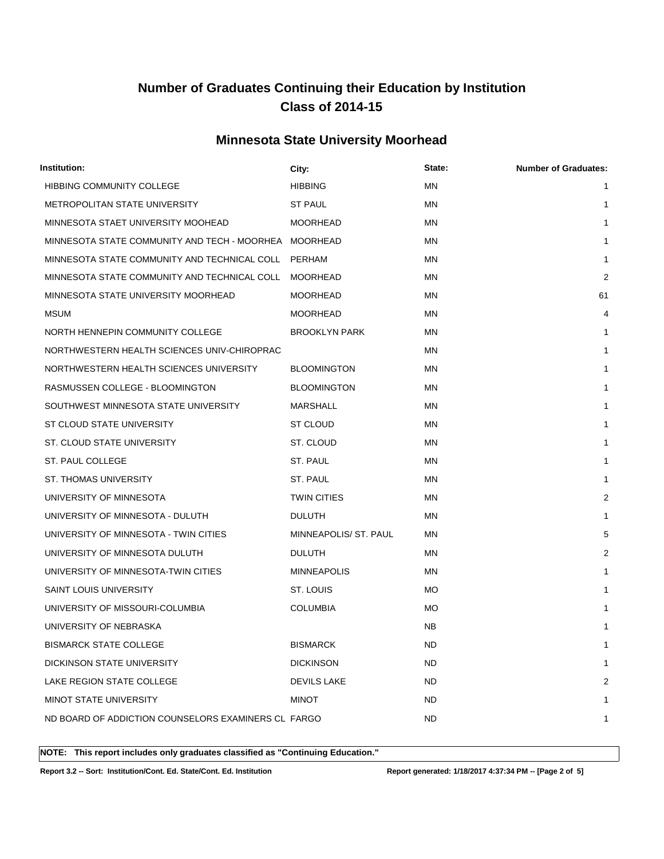#### **Minnesota State University Moorhead**

| Institution:                                          | City:                 | State:    | <b>Number of Graduates:</b> |
|-------------------------------------------------------|-----------------------|-----------|-----------------------------|
| <b>HIBBING COMMUNITY COLLEGE</b>                      | <b>HIBBING</b>        | <b>MN</b> |                             |
| METROPOLITAN STATE UNIVERSITY                         | <b>ST PAUL</b>        | <b>MN</b> | 1                           |
| MINNESOTA STAET UNIVERSITY MOOHEAD                    | <b>MOORHEAD</b>       | MN        | 1                           |
| MINNESOTA STATE COMMUNITY AND TECH - MOORHEA MOORHEAD |                       | <b>MN</b> | 1                           |
| MINNESOTA STATE COMMUNITY AND TECHNICAL COLL          | PERHAM                | <b>MN</b> | 1                           |
| MINNESOTA STATE COMMUNITY AND TECHNICAL COLL          | MOORHEAD              | <b>MN</b> | $\overline{2}$              |
| MINNESOTA STATE UNIVERSITY MOORHEAD                   | <b>MOORHEAD</b>       | MN        | 61                          |
| <b>MSUM</b>                                           | <b>MOORHEAD</b>       | <b>MN</b> | 4                           |
| NORTH HENNEPIN COMMUNITY COLLEGE                      | <b>BROOKLYN PARK</b>  | ΜN        | 1                           |
| NORTHWESTERN HEALTH SCIENCES UNIV-CHIROPRAC           |                       | <b>MN</b> |                             |
| NORTHWESTERN HEALTH SCIENCES UNIVERSITY               | <b>BLOOMINGTON</b>    | <b>MN</b> |                             |
| RASMUSSEN COLLEGE - BLOOMINGTON                       | <b>BLOOMINGTON</b>    | <b>MN</b> | 1                           |
| SOUTHWEST MINNESOTA STATE UNIVERSITY                  | MARSHALL              | <b>MN</b> | 1                           |
| ST CLOUD STATE UNIVERSITY                             | <b>ST CLOUD</b>       | <b>MN</b> | 1                           |
| ST. CLOUD STATE UNIVERSITY                            | ST. CLOUD             | <b>MN</b> | 1                           |
| ST. PAUL COLLEGE                                      | ST. PAUL              | MN        | 1                           |
| <b>ST. THOMAS UNIVERSITY</b>                          | ST. PAUL              | <b>MN</b> | 1                           |
| UNIVERSITY OF MINNESOTA                               | <b>TWIN CITIES</b>    | <b>MN</b> | $\overline{2}$              |
| UNIVERSITY OF MINNESOTA - DULUTH                      | <b>DULUTH</b>         | <b>MN</b> | 1                           |
| UNIVERSITY OF MINNESOTA - TWIN CITIES                 | MINNEAPOLIS/ ST. PAUL | <b>MN</b> | 5                           |
| UNIVERSITY OF MINNESOTA DULUTH                        | <b>DULUTH</b>         | <b>MN</b> | $\overline{2}$              |
| UNIVERSITY OF MINNESOTA-TWIN CITIES                   | <b>MINNEAPOLIS</b>    | <b>MN</b> | 1                           |
| <b>SAINT LOUIS UNIVERSITY</b>                         | ST. LOUIS             | МO        | 1                           |
| UNIVERSITY OF MISSOURI-COLUMBIA                       | <b>COLUMBIA</b>       | <b>MO</b> |                             |
| UNIVERSITY OF NEBRASKA                                |                       | <b>NB</b> | 1                           |
| <b>BISMARCK STATE COLLEGE</b>                         | <b>BISMARCK</b>       | <b>ND</b> | 1                           |
| <b>DICKINSON STATE UNIVERSITY</b>                     | <b>DICKINSON</b>      | <b>ND</b> | 1                           |
| LAKE REGION STATE COLLEGE                             | <b>DEVILS LAKE</b>    | <b>ND</b> | 2                           |
| <b>MINOT STATE UNIVERSITY</b>                         | <b>MINOT</b>          | ND        | 1                           |
| ND BOARD OF ADDICTION COUNSELORS EXAMINERS CL FARGO   |                       | <b>ND</b> | 1                           |

**NOTE: This report includes only graduates classified as "Continuing Education."** 

**Report 3.2 -- Sort: Institution/Cont. Ed. State/Cont. Ed. Institution Report generated: 1/18/2017 4:37:34 PM -- [Page 2 of 5]**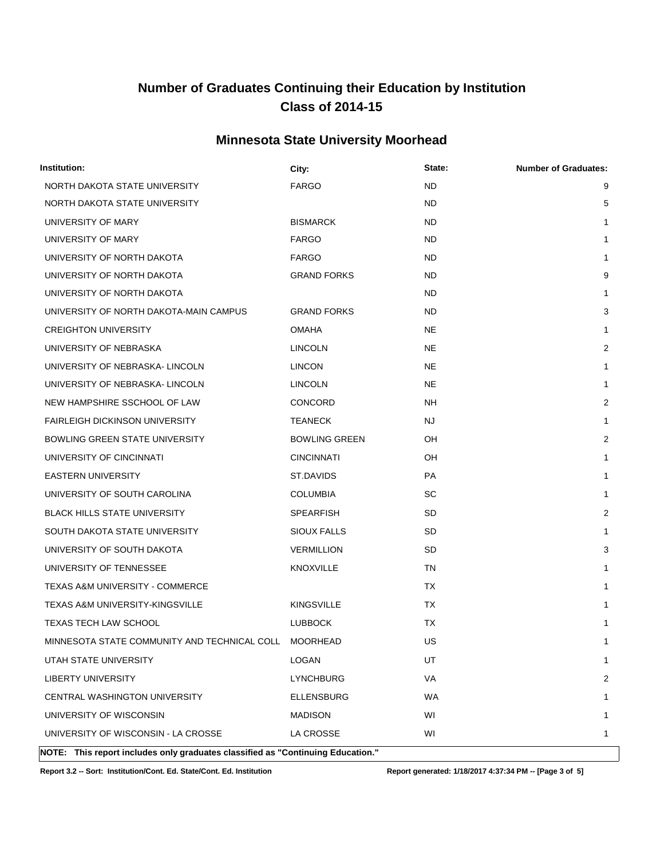#### **Minnesota State University Moorhead**

| Institution:                                                                    | City:                | State:    | <b>Number of Graduates:</b> |
|---------------------------------------------------------------------------------|----------------------|-----------|-----------------------------|
| NORTH DAKOTA STATE UNIVERSITY                                                   | <b>FARGO</b>         | <b>ND</b> | 9                           |
| NORTH DAKOTA STATE UNIVERSITY                                                   |                      | <b>ND</b> | 5                           |
| UNIVERSITY OF MARY                                                              | <b>BISMARCK</b>      | <b>ND</b> | 1                           |
| UNIVERSITY OF MARY                                                              | <b>FARGO</b>         | <b>ND</b> | 1                           |
| UNIVERSITY OF NORTH DAKOTA                                                      | <b>FARGO</b>         | <b>ND</b> | 1                           |
| UNIVERSITY OF NORTH DAKOTA                                                      | <b>GRAND FORKS</b>   | <b>ND</b> | 9                           |
| UNIVERSITY OF NORTH DAKOTA                                                      |                      | <b>ND</b> | 1                           |
| UNIVERSITY OF NORTH DAKOTA-MAIN CAMPUS                                          | <b>GRAND FORKS</b>   | ND        | 3                           |
| <b>CREIGHTON UNIVERSITY</b>                                                     | <b>OMAHA</b>         | <b>NE</b> | 1                           |
| UNIVERSITY OF NEBRASKA                                                          | <b>LINCOLN</b>       | <b>NE</b> | 2                           |
| UNIVERSITY OF NEBRASKA- LINCOLN                                                 | <b>LINCON</b>        | <b>NE</b> | 1                           |
| UNIVERSITY OF NEBRASKA- LINCOLN                                                 | <b>LINCOLN</b>       | <b>NE</b> | 1                           |
| NEW HAMPSHIRE SSCHOOL OF LAW                                                    | <b>CONCORD</b>       | NΗ        | 2                           |
| <b>FAIRLEIGH DICKINSON UNIVERSITY</b>                                           | <b>TEANECK</b>       | NJ        | 1                           |
| <b>BOWLING GREEN STATE UNIVERSITY</b>                                           | <b>BOWLING GREEN</b> | OH        | $\overline{2}$              |
| UNIVERSITY OF CINCINNATI                                                        | <b>CINCINNATI</b>    | OH        | 1                           |
| <b>EASTERN UNIVERSITY</b>                                                       | ST.DAVIDS            | PA        | 1                           |
| UNIVERSITY OF SOUTH CAROLINA                                                    | <b>COLUMBIA</b>      | SC        | 1                           |
| <b>BLACK HILLS STATE UNIVERSITY</b>                                             | <b>SPEARFISH</b>     | SD        | 2                           |
| SOUTH DAKOTA STATE UNIVERSITY                                                   | SIOUX FALLS          | SD        | 1                           |
| UNIVERSITY OF SOUTH DAKOTA                                                      | <b>VERMILLION</b>    | <b>SD</b> | 3                           |
| UNIVERSITY OF TENNESSEE                                                         | KNOXVILLE            | TN        | 1                           |
| <b>TEXAS A&amp;M UNIVERSITY - COMMERCE</b>                                      |                      | TX        | 1                           |
| TEXAS A&M UNIVERSITY-KINGSVILLE                                                 | <b>KINGSVILLE</b>    | <b>TX</b> | 1                           |
| TEXAS TECH LAW SCHOOL                                                           | <b>LUBBOCK</b>       | ТX        | 1                           |
| MINNESOTA STATE COMMUNITY AND TECHNICAL COLL MOORHEAD                           |                      | US        | 1                           |
| UTAH STATE UNIVERSITY                                                           | LOGAN                | UT        | 1                           |
| <b>LIBERTY UNIVERSITY</b>                                                       | <b>LYNCHBURG</b>     | VA        | 2                           |
| CENTRAL WASHINGTON UNIVERSITY                                                   | <b>ELLENSBURG</b>    | WA        | 1                           |
| UNIVERSITY OF WISCONSIN                                                         | <b>MADISON</b>       | WI        | 1                           |
| UNIVERSITY OF WISCONSIN - LA CROSSE                                             | LA CROSSE            | WI        | 1                           |
| NOTE: This report includes only graduates classified as "Continuing Education." |                      |           |                             |

**Report 3.2 -- Sort: Institution/Cont. Ed. State/Cont. Ed. Institution Report generated: 1/18/2017 4:37:34 PM -- [Page 3 of 5]**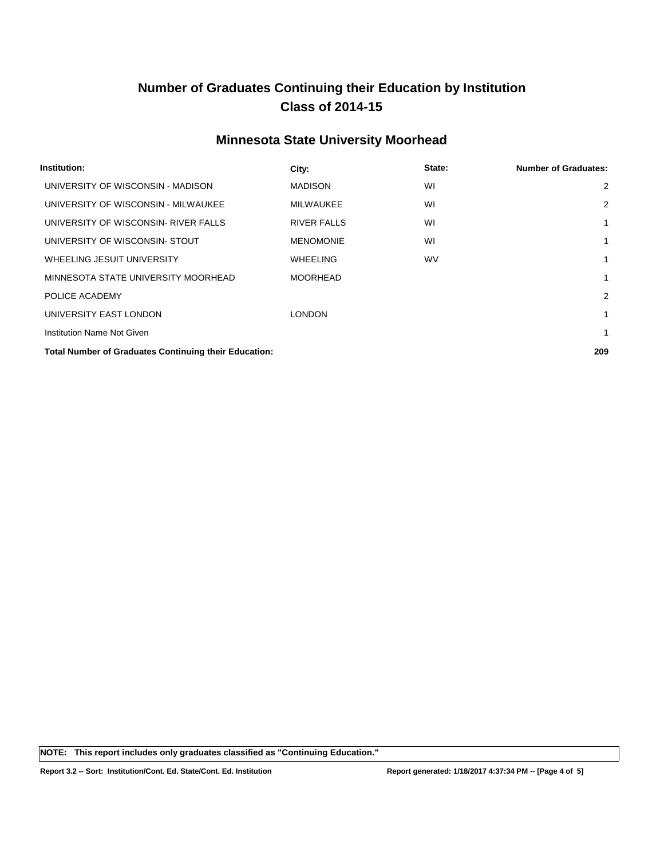#### **Minnesota State University Moorhead**

| Institution:                                                 | City:              | State:    | <b>Number of Graduates:</b> |
|--------------------------------------------------------------|--------------------|-----------|-----------------------------|
| UNIVERSITY OF WISCONSIN - MADISON                            | <b>MADISON</b>     | WI        | $\overline{2}$              |
| UNIVERSITY OF WISCONSIN - MILWAUKEE                          | <b>MILWAUKEE</b>   | WI        | $\overline{2}$              |
| UNIVERSITY OF WISCONSIN- RIVER FALLS                         | <b>RIVER FALLS</b> | WI        | 1                           |
| UNIVERSITY OF WISCONSIN- STOUT                               | <b>MENOMONIE</b>   | WI        | 1                           |
| WHEELING JESUIT UNIVERSITY                                   | WHEELING           | <b>WV</b> | 1                           |
| MINNESOTA STATE UNIVERSITY MOORHEAD                          | <b>MOORHEAD</b>    |           | 1                           |
| POLICE ACADEMY                                               |                    |           | $\overline{2}$              |
| UNIVERSITY EAST LONDON                                       | <b>LONDON</b>      |           | 1                           |
| Institution Name Not Given                                   |                    |           | 1                           |
| <b>Total Number of Graduates Continuing their Education:</b> |                    |           | 209                         |

**NOTE: This report includes only graduates classified as "Continuing Education."**